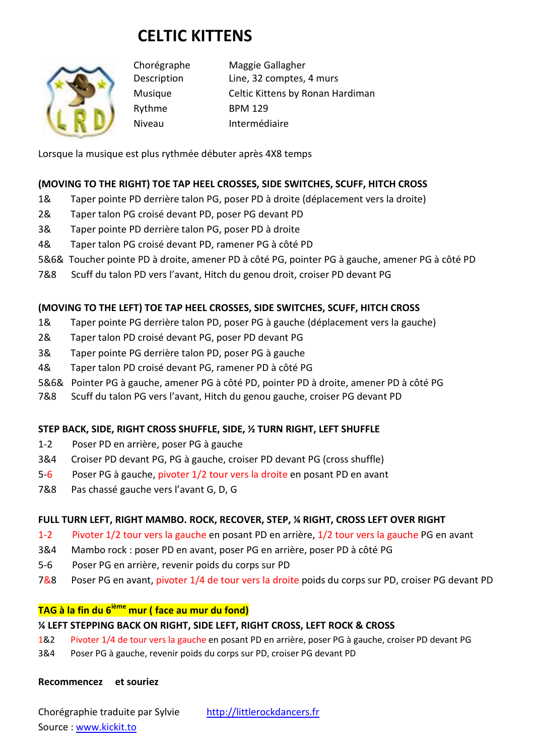# **CELTIC KITTENS**



Chorégraphe Maggie Gallagher Description Line, 32 comptes, 4 murs Musique Celtic Kittens by Ronan Hardiman Rythme BPM 129 Niveau Intermédiaire

Lorsque la musique est plus rythmée débuter après 4X8 temps

#### **(MOVING TO THE RIGHT) TOE TAP HEEL CROSSES, SIDE SWITCHES, SCUFF, HITCH CROSS**

- 1& Taper pointe PD derrière talon PG, poser PD à droite (déplacement vers la droite)
- 2& Taper talon PG croisé devant PD, poser PG devant PD
- 3& Taper pointe PD derrière talon PG, poser PD à droite
- 4& Taper talon PG croisé devant PD, ramener PG à côté PD
- 5&6& Toucher pointe PD à droite, amener PD à côté PG, pointer PG à gauche, amener PG à côté PD
- 7&8 Scuff du talon PD vers l'avant, Hitch du genou droit, croiser PD devant PG

#### **(MOVING TO THE LEFT) TOE TAP HEEL CROSSES, SIDE SWITCHES, SCUFF, HITCH CROSS**

- 1& Taper pointe PG derrière talon PD, poser PG à gauche (déplacement vers la gauche)
- 2& Taper talon PD croisé devant PG, poser PD devant PG
- 3& Taper pointe PG derrière talon PD, poser PG à gauche
- 4& Taper talon PD croisé devant PG, ramener PD à côté PG
- 5&6& Pointer PG à gauche, amener PG à côté PD, pointer PD à droite, amener PD à côté PG
- 7&8 Scuff du talon PG vers l'avant, Hitch du genou gauche, croiser PG devant PD

#### **STEP BACK, SIDE, RIGHT CROSS SHUFFLE, SIDE, ½ TURN RIGHT, LEFT SHUFFLE**

- 1-2 Poser PD en arrière, poser PG à gauche
- 3&4 Croiser PD devant PG, PG à gauche, croiser PD devant PG (cross shuffle)
- 5-6 Poser PG à gauche, pivoter 1/2 tour vers la droite en posant PD en avant
- 7&8 Pas chassé gauche vers l'avant G, D, G

#### **FULL TURN LEFT, RIGHT MAMBO. ROCK, RECOVER, STEP, ¼ RIGHT, CROSS LEFT OVER RIGHT**

- 1-2 Pivoter 1/2 tour vers la gauche en posant PD en arrière, 1/2 tour vers la gauche PG en avant
- 3&4 Mambo rock : poser PD en avant, poser PG en arrière, poser PD à côté PG
- 5-6 Poser PG en arrière, revenir poids du corps sur PD
- 7&8 Poser PG en avant, pivoter 1/4 de tour vers la droite poids du corps sur PD, croiser PG devant PD

#### **TAG à la fin du 6ième mur ( face au mur du fond)**

#### **¼ LEFT STEPPING BACK ON RIGHT, SIDE LEFT, RIGHT CROSS, LEFT ROCK & CROSS**

- 1&2 Pivoter 1/4 de tour vers la gauche en posant PD en arrière, poser PG à gauche, croiser PD devant PG
- 3&4 Poser PG à gauche, revenir poids du corps sur PD, croiser PG devant PD

#### **Recommencez et souriez**

Chorégraphie traduite par Sylvie http://littlerockdancers.fr Source : www.kickit.to